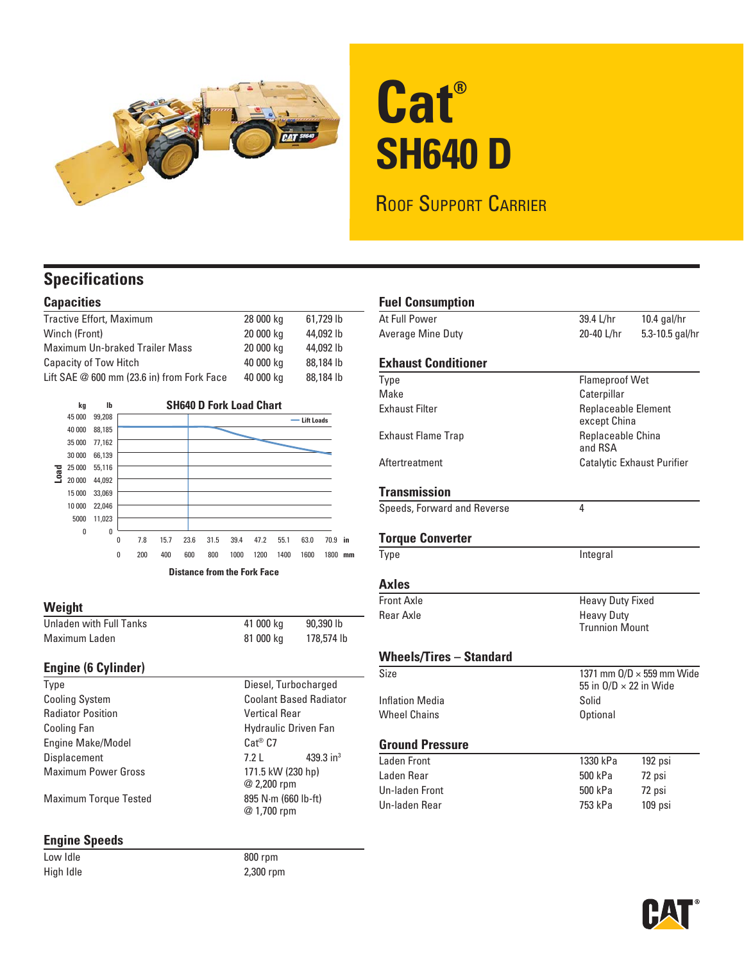

# **Cat® SH640 D**

ROOF SUPPORT CARRIER

### **Specifications**

#### **Capacities**

| Tractive Effort, Maximum                     | 28 000 kg | 61.729 lb |
|----------------------------------------------|-----------|-----------|
| Winch (Front)                                | 20 000 kg | 44,092 lb |
| <b>Maximum Un-braked Trailer Mass</b>        | 20 000 kg | 44,092 lb |
| Capacity of Tow Hitch                        | 40 000 kg | 88,184 lb |
| Lift SAE $@$ 600 mm (23.6 in) from Fork Face | 40 000 kg | 88,184 lb |



#### **Weight**

| Unladen with Full Tanks | 41 000 kg | 90.390 lb  |
|-------------------------|-----------|------------|
| Maximum Laden           | 81 000 kg | 178,574 lb |

#### **Engine (6 Cylinder)**

| Type                         | Diesel, Turbocharged               |  |
|------------------------------|------------------------------------|--|
| <b>Cooling System</b>        | <b>Coolant Based Radiator</b>      |  |
| <b>Radiator Position</b>     | <b>Vertical Rear</b>               |  |
| Cooling Fan                  | <b>Hydraulic Driven Fan</b>        |  |
| Engine Make/Model            | $Cat^@$ $C7$                       |  |
| Displacement                 | 439.3 in <sup>3</sup><br>7.21      |  |
| <b>Maximum Power Gross</b>   | 171.5 kW (230 hp)<br>@ 2,200 rpm   |  |
| <b>Maximum Torque Tested</b> | 895 N·m (660 lb-ft)<br>@ 1,700 rpm |  |

#### **Engine Speeds**

Low Idle 800 rpm High Idle 2,300 rpm

| <b>Fuel Consumption</b>        |                                                            |                 |
|--------------------------------|------------------------------------------------------------|-----------------|
| At Full Power                  | 39.4 L/hr                                                  | $10.4$ gal/hr   |
| Average Mine Duty              | 20-40 L/hr                                                 | 5.3-10.5 gal/hr |
| <b>Exhaust Conditioner</b>     |                                                            |                 |
| Type                           | <b>Flameproof Wet</b>                                      |                 |
| Make                           | Caterpillar                                                |                 |
| <b>Exhaust Filter</b>          | <b>Replaceable Element</b><br>except China                 |                 |
| <b>Exhaust Flame Trap</b>      | Replaceable China<br>and RSA                               |                 |
| Aftertreatment                 | Catalytic Exhaust Purifier                                 |                 |
| <b>Transmission</b>            |                                                            |                 |
| Speeds, Forward and Reverse    | 4                                                          |                 |
| <b>Torque Converter</b>        |                                                            |                 |
| Type                           | Integral                                                   |                 |
| <b>Axles</b>                   |                                                            |                 |
| Front Axle                     | <b>Heavy Duty Fixed</b>                                    |                 |
| <b>Rear Axle</b>               | <b>Heavy Duty</b><br><b>Trunnion Mount</b>                 |                 |
| <b>Wheels/Tires - Standard</b> |                                                            |                 |
| Size                           | 1371 mm 0/D × 559 mm Wide<br>55 in $O/D \times 22$ in Wide |                 |
| Inflation Media                | Solid                                                      |                 |
| <b>Wheel Chains</b>            | <b>Optional</b>                                            |                 |
| <b>Ground Pressure</b>         |                                                            |                 |
| Laden Front                    | 1330 kPa                                                   | 192 psi         |
| Laden Rear                     | 500 kPa                                                    | 72 psi          |
| <b>Un-laden Front</b>          | 500 kPa                                                    | 72 psi          |
| Un-laden Rear                  | 753 kPa                                                    | 109 psi         |
|                                |                                                            |                 |

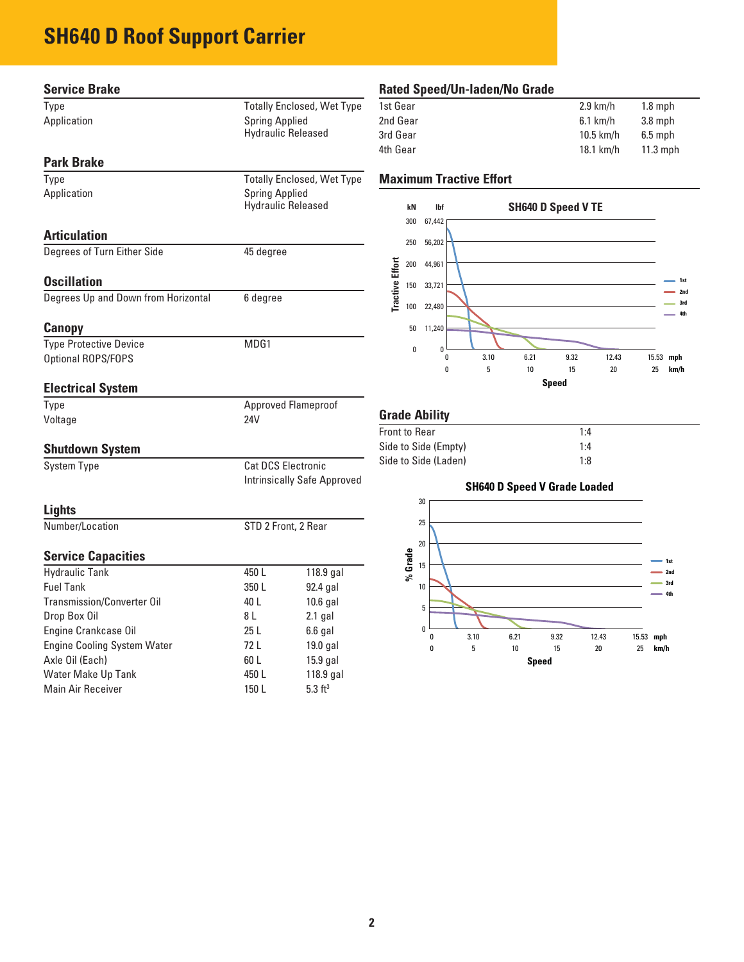## **SH640 D Roof Support Carrier**

| <b>Service Brake</b>                      |                                                                 |                                   | <b>Rated Spee</b>                         |          |      |
|-------------------------------------------|-----------------------------------------------------------------|-----------------------------------|-------------------------------------------|----------|------|
| Type                                      |                                                                 | <b>Totally Enclosed, Wet Type</b> | 1st Gear                                  |          |      |
| Application                               | <b>Spring Applied</b>                                           |                                   | 2nd Gear                                  |          |      |
|                                           |                                                                 | <b>Hydraulic Released</b>         | 3rd Gear                                  |          |      |
| <b>Park Brake</b>                         |                                                                 |                                   | 4th Gear                                  |          |      |
| Type                                      |                                                                 | <b>Totally Enclosed, Wet Type</b> | <b>Maximum</b>                            |          |      |
| Application                               | <b>Spring Applied</b>                                           |                                   |                                           |          |      |
|                                           |                                                                 | <b>Hydraulic Released</b>         |                                           | kN       |      |
|                                           |                                                                 |                                   |                                           | 300      | 67,4 |
| <b>Articulation</b>                       |                                                                 |                                   |                                           | 250      | 56,2 |
| Degrees of Turn Either Side               | 45 degree                                                       |                                   |                                           |          |      |
|                                           |                                                                 |                                   | <b>Tractive Effort</b>                    | 200      | 44,9 |
| <b>Oscillation</b>                        |                                                                 |                                   |                                           | 150      | 33,7 |
| Degrees Up and Down from Horizontal       | 6 degree                                                        |                                   |                                           | 100      | 22,4 |
| <b>Canopy</b>                             |                                                                 |                                   |                                           | 50       | 11,2 |
| <b>Type Protective Device</b>             | MDG1                                                            |                                   |                                           | $\bf{0}$ |      |
| Optional ROPS/FOPS                        |                                                                 |                                   |                                           |          |      |
| <b>Electrical System</b>                  |                                                                 |                                   |                                           |          |      |
| Type                                      |                                                                 | <b>Approved Flameproof</b>        |                                           |          |      |
| Voltage                                   | 24V                                                             |                                   | <b>Grade Abil</b><br><b>Front to Rear</b> |          |      |
| <b>Shutdown System</b>                    |                                                                 |                                   | Side to Side (                            |          |      |
| <b>System Type</b>                        | <b>Cat DCS Electronic</b><br><b>Intrinsically Safe Approved</b> |                                   | Side to Side (                            |          |      |
|                                           |                                                                 |                                   |                                           |          |      |
| <b>Lights</b>                             |                                                                 |                                   |                                           |          | 30   |
| Number/Location                           | STD 2 Front, 2 Rear                                             |                                   |                                           |          | 25   |
|                                           |                                                                 |                                   |                                           |          | 20   |
| <b>Service Capacities</b>                 |                                                                 |                                   |                                           | % Grade  | 15   |
| <b>Hydraulic Tank</b><br><b>Fuel Tank</b> | 450L<br>350L                                                    | $118.9$ gal                       |                                           |          | 10   |
| <b>Transmission/Converter Oil</b>         | 40 L                                                            | 92.4 gal<br>$10.6$ gal            |                                           |          |      |
| Drop Box Oil                              | 8 L                                                             | $2.1$ gal                         |                                           |          | 5    |
| Engine Crankcase Oil                      | 25 L                                                            | $6.6$ gal                         |                                           |          | 0    |
| Engine Cooling System Water               | 72 L                                                            | $19.0$ gal                        |                                           |          |      |
| Axle Oil (Each)                           | 60 L                                                            | $15.9$ gal                        |                                           |          | 0    |
| <b>Water Make Up Tank</b>                 | 450L                                                            | $118.9$ gal                       |                                           |          |      |
| Main Air Receiver                         | 150 L                                                           | $5.3 \text{ ft}^3$                |                                           |          |      |
|                                           |                                                                 |                                   |                                           |          |      |

#### **Rated Speed/Un-laden/No Grade**

| 1st Gear | $2.9$ km/h  | $1.8$ mph  |
|----------|-------------|------------|
| 2nd Gear | $6.1$ km/h  | $3.8$ mph  |
| 3rd Gear | $10.5$ km/h | $6.5$ mph  |
| 4th Gear | $18.1$ km/h | $11.3$ mph |
|          |             |            |

#### **Tractive Effort**



#### **lity**

| <b>Front to Rear</b> | 1:4 |
|----------------------|-----|
| Side to Side (Empty) | 1:4 |
| Side to Side (Laden) | 1:8 |

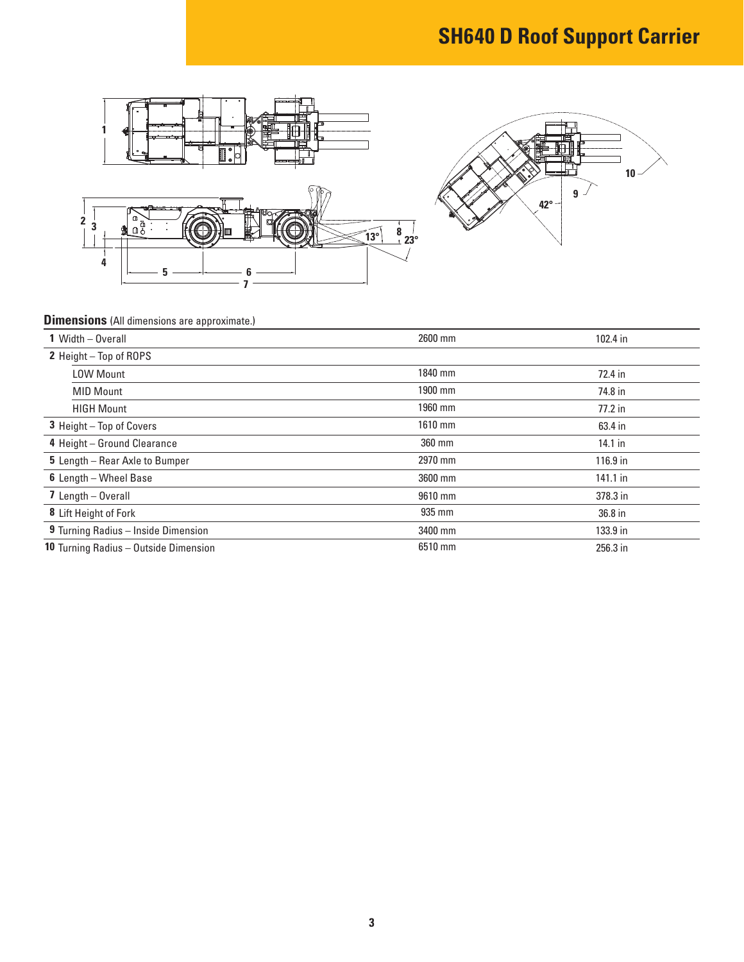## **SH640 D Roof Support Carrier**





#### **Dimensions** (All dimensions are approximate.)

| 1 Width - Overall                            | 2600 mm | 102.4 in   |
|----------------------------------------------|---------|------------|
| 2 Height - Top of ROPS                       |         |            |
| <b>LOW Mount</b>                             | 1840 mm | 72.4 in    |
| <b>MID Mount</b>                             | 1900 mm | 74.8 in    |
| <b>HIGH Mount</b>                            | 1960 mm | $77.2$ in  |
| 3 Height - Top of Covers                     | 1610 mm | 63.4 in    |
| 4 Height - Ground Clearance                  | 360 mm  | $14.1$ in  |
| 5 Length - Rear Axle to Bumper               | 2970 mm | $116.9$ in |
| 6 Length - Wheel Base                        | 3600 mm | $141.1$ in |
| 7 Length $-$ Overall                         | 9610 mm | 378.3 in   |
| 8 Lift Height of Fork                        | 935 mm  | 36.8 in    |
| 9 Turning Radius - Inside Dimension          | 3400 mm | 133.9 in   |
| <b>10 Turning Radius - Outside Dimension</b> | 6510 mm | 256.3 in   |